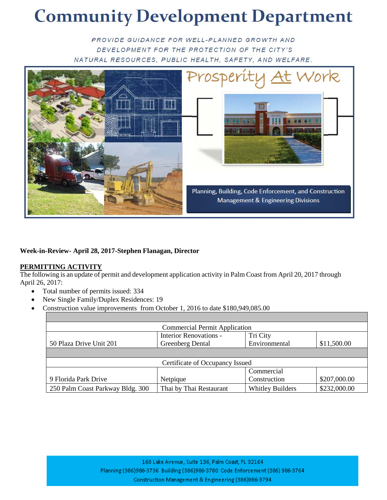## **Community Development Department**

PROVIDE GUIDANCE FOR WELL-PLANNED GROWTH AND DEVELOPMENT FOR THE PROTECTION OF THE CITY'S NATURAL RESOURCES, PUBLIC HEALTH, SAFETY, AND WELFARE.



## **Week-in-Review- April 28, 2017-Stephen Flanagan, Director**

## **PERMITTING ACTIVITY**

The following is an update of permit and development application activity in Palm Coast from April 20, 2017 through April 26, 2017:

- Total number of permits issued: 334
- New Single Family/Duplex Residences: 19
- Construction value improvements from October 1, 2016 to date \$180,949,085.00

| <b>Commercial Permit Application</b> |                               |                         |              |  |  |  |
|--------------------------------------|-------------------------------|-------------------------|--------------|--|--|--|
|                                      | <b>Interior Renovations -</b> | Tri City                |              |  |  |  |
| 50 Plaza Drive Unit 201              | Greenberg Dental              | Environmental           | \$11,500.00  |  |  |  |
|                                      |                               |                         |              |  |  |  |
| Certificate of Occupancy Issued      |                               |                         |              |  |  |  |
|                                      |                               | Commercial              |              |  |  |  |
| 9 Florida Park Drive                 | Netpique                      | Construction            | \$207,000.00 |  |  |  |
| 250 Palm Coast Parkway Bldg. 300     | Thai by Thai Restaurant       | <b>Whitley Builders</b> | \$232,000.00 |  |  |  |

160 Lake Avenue, Suite 136, Palm Coast, FL 32164 Planning (386)986-3736 Building (386)986-3780 Code Enforcement (386) 986-3764 Construction Management & Engineering (386)986-3794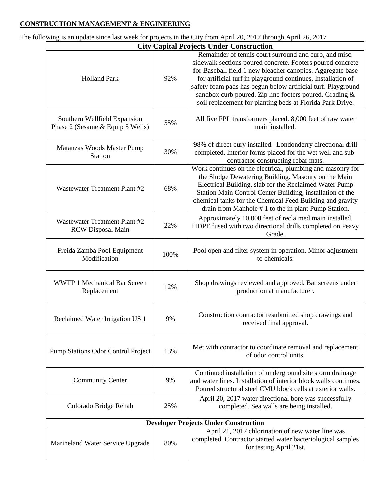## **CONSTRUCTION MANAGEMENT & ENGINEERING**

The following is an update since last week for projects in the City from April 20, 2017 through April 26, 2017

| <b>City Capital Projects Under Construction</b>                  |      |                                                                                                                                                                                                                                                                                                                                                                                                                                            |  |  |
|------------------------------------------------------------------|------|--------------------------------------------------------------------------------------------------------------------------------------------------------------------------------------------------------------------------------------------------------------------------------------------------------------------------------------------------------------------------------------------------------------------------------------------|--|--|
| <b>Holland Park</b>                                              | 92%  | Remainder of tennis court surround and curb, and misc.<br>sidewalk sections poured concrete. Footers poured concrete<br>for Baseball field 1 new bleacher canopies. Aggregate base<br>for artificial turf in playground continues. Installation of<br>safety foam pads has begun below artificial turf. Playground<br>sandbox curb poured. Zip line footers poured. Grading &<br>soil replacement for planting beds at Florida Park Drive. |  |  |
| Southern Wellfield Expansion<br>Phase 2 (Sesame & Equip 5 Wells) | 55%  | All five FPL transformers placed. 8,000 feet of raw water<br>main installed.                                                                                                                                                                                                                                                                                                                                                               |  |  |
| Matanzas Woods Master Pump<br><b>Station</b>                     | 30%  | 98% of direct bury installed. Londonderry directional drill<br>completed. Interior forms placed for the wet well and sub-<br>contractor constructing rebar mats.                                                                                                                                                                                                                                                                           |  |  |
| Wastewater Treatment Plant #2                                    | 68%  | Work continues on the electrical, plumbing and masonry for<br>the Sludge Dewatering Building. Masonry on the Main<br>Electrical Building, slab for the Reclaimed Water Pump<br>Station Main Control Center Building, installation of the<br>chemical tanks for the Chemical Feed Building and gravity<br>drain from Manhole #1 to the in plant Pump Station.                                                                               |  |  |
| Wastewater Treatment Plant #2<br><b>RCW</b> Disposal Main        | 22%  | Approximately 10,000 feet of reclaimed main installed.<br>HDPE fused with two directional drills completed on Peavy<br>Grade.                                                                                                                                                                                                                                                                                                              |  |  |
| Freida Zamba Pool Equipment<br>Modification                      | 100% | Pool open and filter system in operation. Minor adjustment<br>to chemicals.                                                                                                                                                                                                                                                                                                                                                                |  |  |
| <b>WWTP 1 Mechanical Bar Screen</b><br>Replacement               | 12%  | Shop drawings reviewed and approved. Bar screens under<br>production at manufacturer.                                                                                                                                                                                                                                                                                                                                                      |  |  |
| Reclaimed Water Irrigation US 1                                  | 9%   | Construction contractor resubmitted shop drawings and<br>received final approval.                                                                                                                                                                                                                                                                                                                                                          |  |  |
| <b>Pump Stations Odor Control Project</b>                        | 13%  | Met with contractor to coordinate removal and replacement<br>of odor control units.                                                                                                                                                                                                                                                                                                                                                        |  |  |
| <b>Community Center</b>                                          | 9%   | Continued installation of underground site storm drainage<br>and water lines. Installation of interior block walls continues.<br>Poured structural steel CMU block cells at exterior walls.                                                                                                                                                                                                                                                |  |  |
| Colorado Bridge Rehab                                            | 25%  | April 20, 2017 water directional bore was successfully<br>completed. Sea walls are being installed.                                                                                                                                                                                                                                                                                                                                        |  |  |
| <b>Developer Projects Under Construction</b>                     |      |                                                                                                                                                                                                                                                                                                                                                                                                                                            |  |  |
| Marineland Water Service Upgrade                                 | 80%  | April 21, 2017 chlorination of new water line was<br>completed. Contractor started water bacteriological samples<br>for testing April 21st.                                                                                                                                                                                                                                                                                                |  |  |